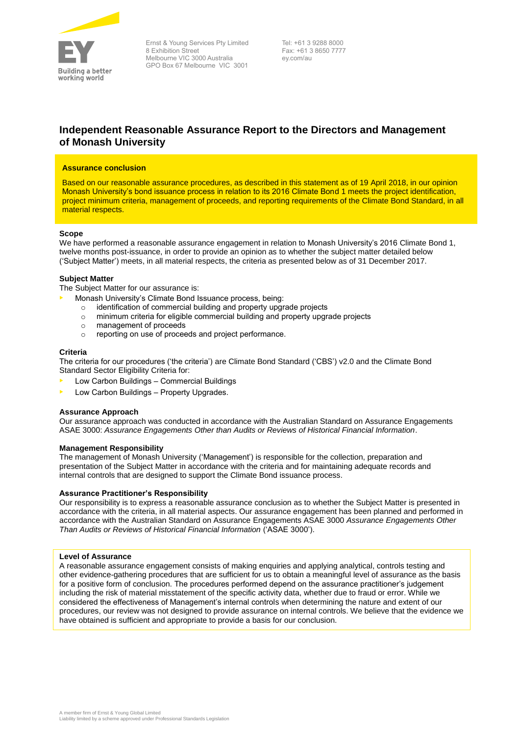

Ernst & Young Services Pty Limited 8 Exhibition Street Melbourne VIC 3000 Australia GPO Box 67 Melbourne VIC 3001

Tel: +61 3 9288 8000 Fax: +61 3 8650 7777 ey.com/au

# **Independent Reasonable Assurance Report to the Directors and Management of Monash University**

# **Assurance conclusion**

Based on our reasonable assurance procedures, as described in this statement as of 19 April 2018, in our opinion Monash University's bond issuance process in relation to its 2016 Climate Bond 1 meets the project identification, project minimum criteria, management of proceeds, and reporting requirements of the Climate Bond Standard, in all material respects.

## **Scope**

We have performed a reasonable assurance engagement in relation to Monash University's 2016 Climate Bond 1, twelve months post-issuance, in order to provide an opinion as to whether the subject matter detailed below ('Subject Matter') meets, in all material respects, the criteria as presented below as of 31 December 2017.

# **Subject Matter**

The Subject Matter for our assurance is:

- Monash University's Climate Bond Issuance process, being:
	- o identification of commercial building and property upgrade projects
	- $\circ$  minimum criteria for eligible commercial building and property upgrade projects
	- o management of proceeds
	- o reporting on use of proceeds and project performance.

## **Criteria**

The criteria for our procedures ('the criteria') are Climate Bond Standard ('CBS') v2.0 and the Climate Bond Standard Sector Eligibility Criteria for:

- Low Carbon Buildings Commercial Buildings
- Low Carbon Buildings Property Upgrades.

## **Assurance Approach**

Our assurance approach was conducted in accordance with the Australian Standard on Assurance Engagements ASAE 3000: *Assurance Engagements Other than Audits or Reviews of Historical Financial Information*.

## **Management Responsibility**

The management of Monash University ('Management') is responsible for the collection, preparation and presentation of the Subject Matter in accordance with the criteria and for maintaining adequate records and internal controls that are designed to support the Climate Bond issuance process.

# **Assurance Practitioner's Responsibility**

Our responsibility is to express a reasonable assurance conclusion as to whether the Subject Matter is presented in accordance with the criteria, in all material aspects. Our assurance engagement has been planned and performed in accordance with the Australian Standard on Assurance Engagements ASAE 3000 *Assurance Engagements Other Than Audits or Reviews of Historical Financial Information* ('ASAE 3000').

## **Level of Assurance**

A reasonable assurance engagement consists of making enquiries and applying analytical, controls testing and other evidence-gathering procedures that are sufficient for us to obtain a meaningful level of assurance as the basis for a positive form of conclusion. The procedures performed depend on the assurance practitioner's judgement including the risk of material misstatement of the specific activity data, whether due to fraud or error. While we including the risk of material misstatement of the specific activity data, whether due to fraud or error. W considered the effectiveness of Management's internal controls when determining the nature and extent of our procedures, our review was not designed to provide assurance on internal controls. We believe that the evidence we have obtained is sufficient and appropriate to provide a basis for our conclusion.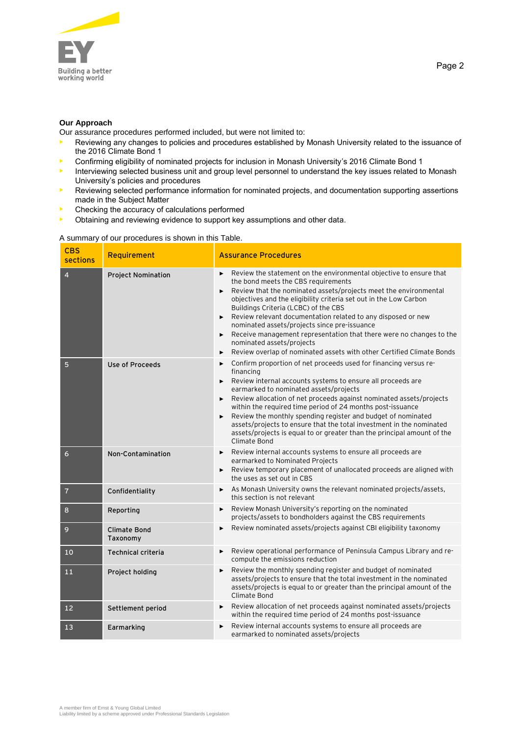

# **Our Approach**

Our assurance procedures performed included, but were not limited to:

- Reviewing any changes to policies and procedures established by Monash University related to the issuance of the 2016 Climate Bond 1
- Confirming eligibility of nominated projects for inclusion in Monash University's 2016 Climate Bond 1
- Interviewing selected business unit and group level personnel to understand the key issues related to Monash University's policies and procedures
- Reviewing selected performance information for nominated projects, and documentation supporting assertions made in the Subject Matter
- Checking the accuracy of calculations performed
- Obtaining and reviewing evidence to support key assumptions and other data.

# A summary of our procedures is shown in this Table.

| <b>CBS</b><br>sections | Requirement                     | <b>Assurance Procedures</b>                                                                                                                                                                                                                                                                                                                                                                                                                                                                                                                                                             |
|------------------------|---------------------------------|-----------------------------------------------------------------------------------------------------------------------------------------------------------------------------------------------------------------------------------------------------------------------------------------------------------------------------------------------------------------------------------------------------------------------------------------------------------------------------------------------------------------------------------------------------------------------------------------|
| $\overline{4}$         | <b>Project Nomination</b>       | Review the statement on the environmental objective to ensure that<br>the bond meets the CBS requirements<br>Review that the nominated assets/projects meet the environmental<br>objectives and the eligibility criteria set out in the Low Carbon<br>Buildings Criteria (LCBC) of the CBS<br>Review relevant documentation related to any disposed or new<br>nominated assets/projects since pre-issuance<br>Receive management representation that there were no changes to the<br>nominated assets/projects<br>Review overlap of nominated assets with other Certified Climate Bonds |
| 5                      | <b>Use of Proceeds</b>          | Confirm proportion of net proceeds used for financing versus re-<br>financing<br>Review internal accounts systems to ensure all proceeds are<br>▶<br>earmarked to nominated assets/projects<br>Review allocation of net proceeds against nominated assets/projects<br>within the required time period of 24 months post-issuance<br>Review the monthly spending register and budget of nominated<br>assets/projects to ensure that the total investment in the nominated<br>assets/projects is equal to or greater than the principal amount of the<br>Climate Bond                     |
| 6                      | Non-Contamination               | Review internal accounts systems to ensure all proceeds are<br>earmarked to Nominated Projects<br>Review temporary placement of unallocated proceeds are aligned with<br>the uses as set out in CBS                                                                                                                                                                                                                                                                                                                                                                                     |
| $\overline{7}$         | Confidentiality                 | As Monash University owns the relevant nominated projects/assets,<br>this section is not relevant                                                                                                                                                                                                                                                                                                                                                                                                                                                                                       |
| 8                      | Reporting                       | Review Monash University's reporting on the nominated<br>projects/assets to bondholders against the CBS requirements                                                                                                                                                                                                                                                                                                                                                                                                                                                                    |
| 9                      | <b>Climate Bond</b><br>Taxonomy | Review nominated assets/projects against CBI eligibility taxonomy                                                                                                                                                                                                                                                                                                                                                                                                                                                                                                                       |
| 10                     | <b>Technical criteria</b>       | Review operational performance of Peninsula Campus Library and re-<br>compute the emissions reduction                                                                                                                                                                                                                                                                                                                                                                                                                                                                                   |
| 11                     | Project holding                 | Review the monthly spending register and budget of nominated<br>assets/projects to ensure that the total investment in the nominated<br>assets/projects is equal to or greater than the principal amount of the<br>Climate Bond                                                                                                                                                                                                                                                                                                                                                         |
| 12                     | Settlement period               | Review allocation of net proceeds against nominated assets/projects<br>within the required time period of 24 months post-issuance                                                                                                                                                                                                                                                                                                                                                                                                                                                       |
| 13                     | Earmarking                      | Review internal accounts systems to ensure all proceeds are<br>earmarked to nominated assets/projects                                                                                                                                                                                                                                                                                                                                                                                                                                                                                   |